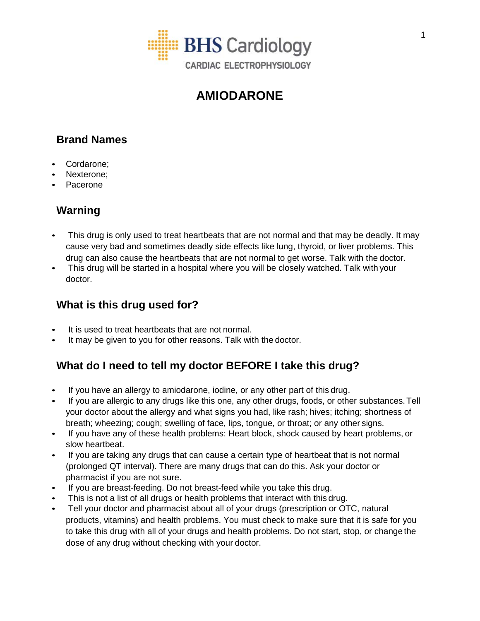

# **AMIODARONE**

## **Brand Names**

- Cordarone;
- Nexterone:
- Pacerone

## **Warning**

- This drug is only used to treat heartbeats that are not normal and that may be deadly. It may cause very bad and sometimes deadly side effects like lung, thyroid, or liver problems. This drug can also cause the heartbeats that are not normal to get worse. Talk with the doctor.
- This drug will be started in a hospital where you will be closely watched. Talk with your doctor.

## **What is this drug used for?**

- It is used to treat heartbeats that are not normal.
- It may be given to you for other reasons. Talk with the doctor.

## **What do I need to tell my doctor BEFORE I take this drug?**

- If you have an allergy to amiodarone, iodine, or any other part of this drug.
- If you are allergic to any drugs like this one, any other drugs, foods, or other substances. Tell your doctor about the allergy and what signs you had, like rash; hives; itching; shortness of breath; wheezing; cough; swelling of face, lips, tongue, or throat; or any other signs.
- If you have any of these health problems: Heart block, shock caused by heart problems, or slow heartbeat.
- If you are taking any drugs that can cause a certain type of heartbeat that is not normal (prolonged QT interval). There are many drugs that can do this. Ask your doctor or pharmacist if you are not sure.
- If you are breast-feeding. Do not breast-feed while you take this drug.
- This is not a list of all drugs or health problems that interact with this drug.
- Tell your doctor and pharmacist about all of your drugs (prescription or OTC, natural products, vitamins) and health problems. You must check to make sure that it is safe for you to take this drug with all of your drugs and health problems. Do not start, stop, or change the dose of any drug without checking with your doctor.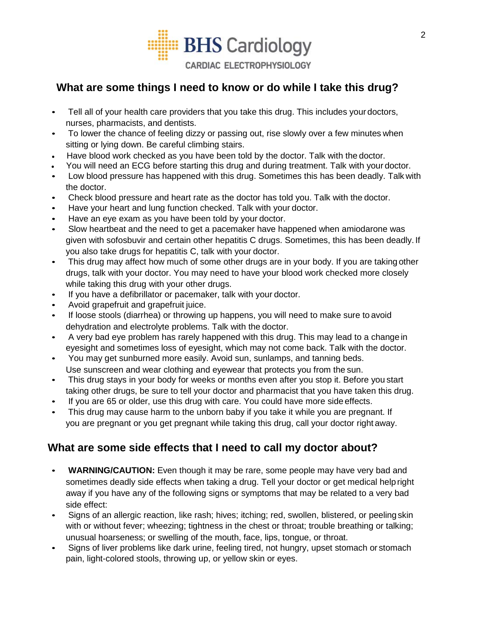

#### **What are some things I need to know or do while I take this drug?**

- Tell all of your health care providers that you take this drug. This includes your doctors, nurses, pharmacists, and dentists.
- To lower the chance of feeling dizzy or passing out, rise slowly over a few minutes when sitting or lying down. Be careful climbing stairs.
- Have blood work checked as you have been told by the doctor. Talk with the doctor.
- You will need an ECG before starting this drug and during treatment. Talk with your doctor.
- Low blood pressure has happened with this drug. Sometimes this has been deadly. Talk with the doctor.
- Check blood pressure and heart rate as the doctor has told you. Talk with the doctor.
- Have your heart and lung function checked. Talk with your doctor.
- Have an eye exam as you have been told by your doctor.
- Slow heartbeat and the need to get a pacemaker have happened when amiodarone was given with sofosbuvir and certain other hepatitis C drugs. Sometimes, this has been deadly. If you also take drugs for hepatitis C, talk with your doctor.
- This drug may affect how much of some other drugs are in your body. If you are taking other drugs, talk with your doctor. You may need to have your blood work checked more closely while taking this drug with your other drugs.
- If you have a defibrillator or pacemaker, talk with your doctor.
- Avoid grapefruit and grapefruit juice.
- If loose stools (diarrhea) or throwing up happens, you will need to make sure to avoid dehydration and electrolyte problems. Talk with the doctor.
- A very bad eye problem has rarely happened with this drug. This may lead to a change in eyesight and sometimes loss of eyesight, which may not come back. Talk with the doctor.
- You may get sunburned more easily. Avoid sun, sunlamps, and tanning beds. Use sunscreen and wear clothing and eyewear that protects you from the sun.
- This drug stays in your body for weeks or months even after you stop it. Before you start taking other drugs, be sure to tell your doctor and pharmacist that you have taken this drug.
- If you are 65 or older, use this drug with care. You could have more side effects.
- This drug may cause harm to the unborn baby if you take it while you are pregnant. If you are pregnant or you get pregnant while taking this drug, call your doctor right away.

#### **What are some side effects that I need to call my doctor about?**

- **WARNING/CAUTION:** Even though it may be rare, some people may have very bad and sometimes deadly side effects when taking a drug. Tell your doctor or get medical help right away if you have any of the following signs or symptoms that may be related to a very bad side effect:
- Signs of an allergic reaction, like rash; hives; itching; red, swollen, blistered, or peelingskin with or without fever; wheezing; tightness in the chest or throat; trouble breathing or talking; unusual hoarseness; or swelling of the mouth, face, lips, tongue, or throat.
- Signs of liver problems like dark urine, feeling tired, not hungry, upset stomach or stomach pain, light-colored stools, throwing up, or yellow skin or eyes.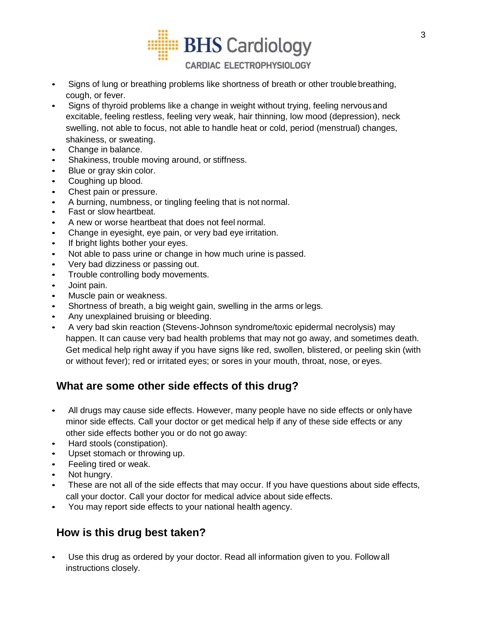

- Signs of lung or breathing problems like shortness of breath or other trouble breathing, cough, or fever.
- Signs of thyroid problems like a change in weight without trying, feeling nervousand excitable, feeling restless, feeling very weak, hair thinning, low mood (depression), neck swelling, not able to focus, not able to handle heat or cold, period (menstrual) changes, shakiness, or sweating.
- Change in balance.
- Shakiness, trouble moving around, or stiffness.
- Blue or gray skin color.
- Coughing up blood.
- Chest pain or pressure.
- A burning, numbness, or tingling feeling that is not normal.
- Fast or slow heartbeat.
- A new or worse heartbeat that does not feel normal.
- Change in eyesight, eye pain, or very bad eye irritation.
- If bright lights bother your eyes.
- Not able to pass urine or change in how much urine is passed.
- Very bad dizziness or passing out.
- Trouble controlling body movements.
- Joint pain.
- Muscle pain or weakness.
- Shortness of breath, a big weight gain, swelling in the arms or legs.
- Any unexplained bruising or bleeding.
- A very bad skin reaction (Stevens-Johnson syndrome/toxic epidermal necrolysis) may happen. It can cause very bad health problems that may not go away, and sometimes death. Get medical help right away if you have signs like red, swollen, blistered, or peeling skin (with or without fever); red or irritated eyes; or sores in your mouth, throat, nose, or eyes.

#### **What are some other side effects of this drug?**

- All drugs may cause side effects. However, many people have no side effects or onlyhave minor side effects. Call your doctor or get medical help if any of these side effects or any other side effects bother you or do not go away:
- Hard stools (constipation).
- Upset stomach or throwing up.
- Feeling tired or weak.
- Not hungry.
- These are not all of the side effects that may occur. If you have questions about side effects, call your doctor. Call your doctor for medical advice about side effects.
- You may report side effects to your national health agency.

## **How is this drug best taken?**

• Use this drug as ordered by your doctor. Read all information given to you. Followall instructions closely.